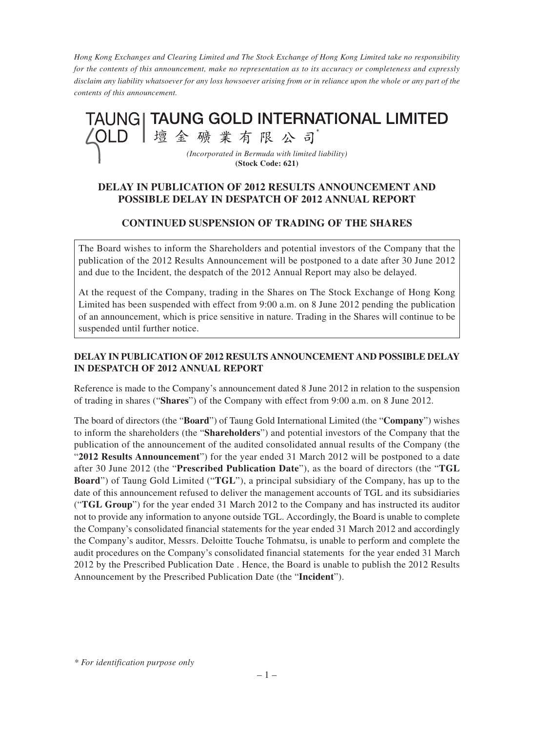*Hong Kong Exchanges and Clearing Limited and The Stock Exchange of Hong Kong Limited take no responsibility for the contents of this announcement, make no representation as to its accuracy or completeness and expressly disclaim any liability whatsoever for any loss howsoever arising from or in reliance upon the whole or any part of the contents of this announcement.*



## **DELAY IN PUBLICATION OF 2012 RESULTS ANNOUNCEMENT AND POSSIBLE DELAY IN DESPATCH OF 2012 ANNUAL REPORT**

## **CONTINUED SUSPENSION OF TRADING OF THE SHARES**

The Board wishes to inform the Shareholders and potential investors of the Company that the publication of the 2012 Results Announcement will be postponed to a date after 30 June 2012 and due to the Incident, the despatch of the 2012 Annual Report may also be delayed.

At the request of the Company, trading in the Shares on The Stock Exchange of Hong Kong Limited has been suspended with effect from 9:00 a.m. on 8 June 2012 pending the publication of an announcement, which is price sensitive in nature. Trading in the Shares will continue to be suspended until further notice.

## **DELAY IN PUBLICATION OF 2012 RESULTS ANNOUNCEMENT AND POSSIBLE DELAY IN DESPATCH OF 2012 ANNUAL REPORT**

Reference is made to the Company's announcement dated 8 June 2012 in relation to the suspension of trading in shares ("**Shares**") of the Company with effect from 9:00 a.m. on 8 June 2012.

The board of directors (the "**Board**") of Taung Gold International Limited (the "**Company**") wishes to inform the shareholders (the "**Shareholders**") and potential investors of the Company that the publication of the announcement of the audited consolidated annual results of the Company (the "**2012 Results Announcement**") for the year ended 31 March 2012 will be postponed to a date after 30 June 2012 (the "**Prescribed Publication Date**"), as the board of directors (the "**TGL Board**") of Taung Gold Limited ("**TGL**"), a principal subsidiary of the Company, has up to the date of this announcement refused to deliver the management accounts of TGL and its subsidiaries ("**TGL Group**") for the year ended 31 March 2012 to the Company and has instructed its auditor not to provide any information to anyone outside TGL. Accordingly, the Board is unable to complete the Company's consolidated financial statements for the year ended 31 March 2012 and accordingly the Company's auditor, Messrs. Deloitte Touche Tohmatsu, is unable to perform and complete the audit procedures on the Company's consolidated financial statements for the year ended 31 March 2012 by the Prescribed Publication Date . Hence, the Board is unable to publish the 2012 Results Announcement by the Prescribed Publication Date (the "**Incident**").